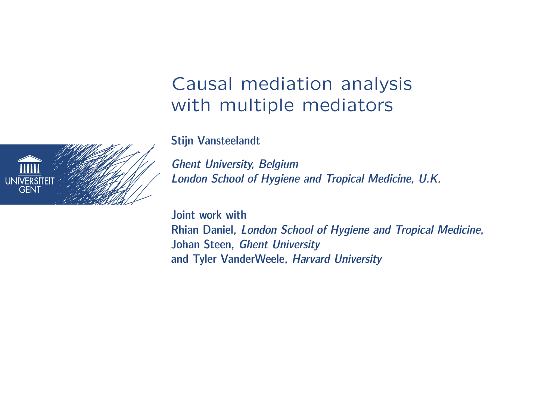## Causal mediation analysis with multiple mediators

Stijn Vansteelandt

Ghent University, Belgium London School of Hygiene and Tropical Medicine, U.K.

Joint work with Rhian Daniel, London School of Hygiene and Tropical Medicine, Johan Steen, Ghent University and Tyler VanderWeele, Harvard University

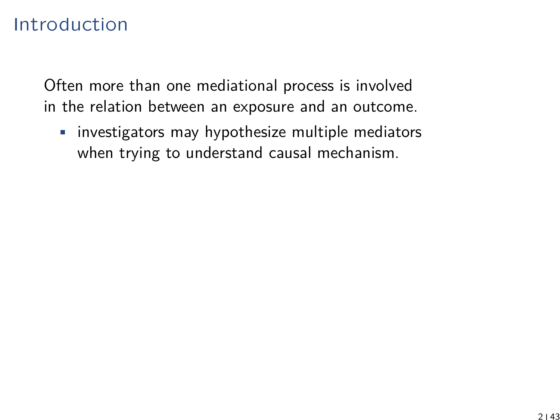## Introduction

Often more than one mediational process is involved in the relation between an exposure and an outcome.

• investigators may hypothesize multiple mediators when trying to understand causal mechanism.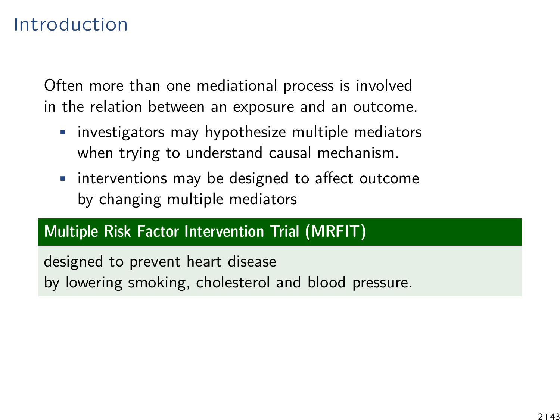## Introduction

Often more than one mediational process is involved in the relation between an exposure and an outcome.

- investigators may hypothesize multiple mediators when trying to understand causal mechanism.
- interventions may be designed to affect outcome by changing multiple mediators

#### Multiple Risk Factor Intervention Trial (MRFIT)

designed to prevent heart disease by lowering smoking, cholesterol and blood pressure.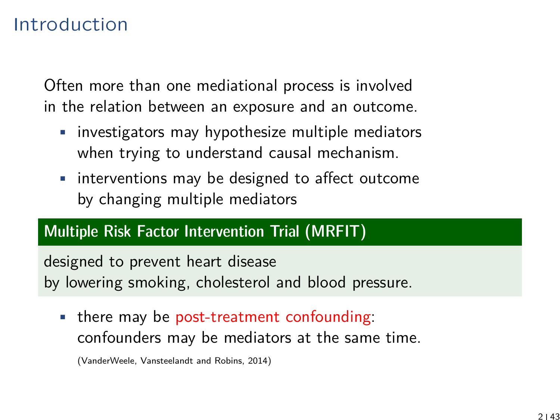## Introduction

Often more than one mediational process is involved in the relation between an exposure and an outcome.

- investigators may hypothesize multiple mediators when trying to understand causal mechanism.
- interventions may be designed to affect outcome by changing multiple mediators

#### Multiple Risk Factor Intervention Trial (MRFIT)

designed to prevent heart disease by lowering smoking, cholesterol and blood pressure.

• there may be post-treatment confounding: confounders may be mediators at the same time.

(VanderWeele, Vansteelandt and Robins, 2014)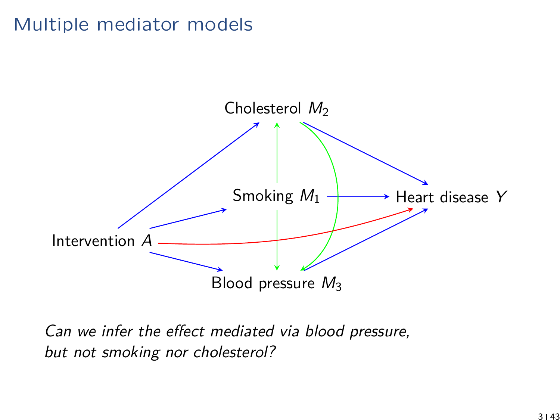## Multiple mediator models



Can we infer the effect mediated via blood pressure, but not smoking nor cholesterol?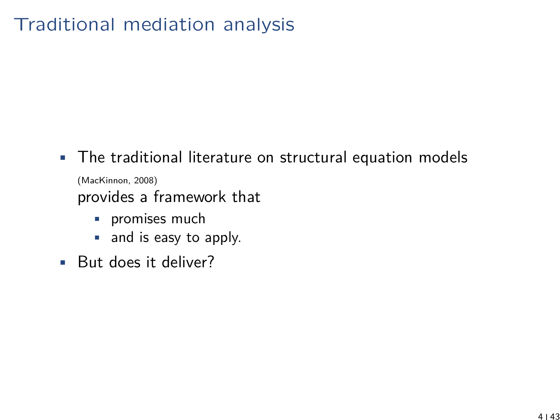# Traditional mediation analysis

- The traditional literature on structural equation models (MacKinnon, 2008) provides a framework that
	- **•** promises much
	- and is easy to apply.
- But does it deliver?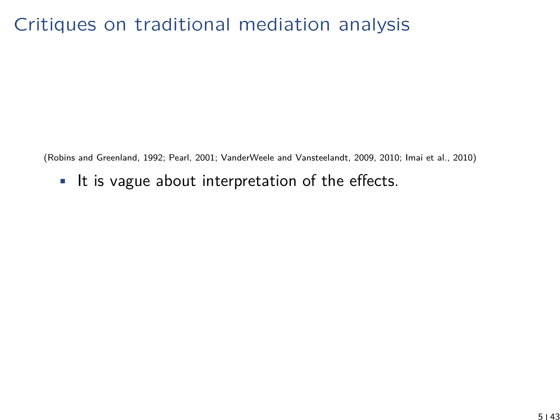## Critiques on traditional mediation analysis

(Robins and Greenland, 1992; Pearl, 2001; VanderWeele and Vansteelandt, 2009, 2010; Imai et al., 2010)

• It is vague about interpretation of the effects.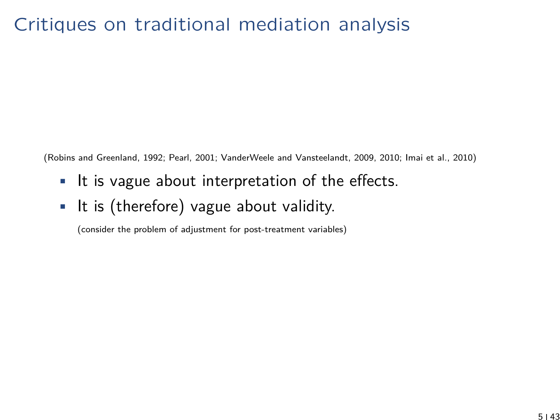## Critiques on traditional mediation analysis

(Robins and Greenland, 1992; Pearl, 2001; VanderWeele and Vansteelandt, 2009, 2010; Imai et al., 2010)

- It is vague about interpretation of the effects.
- It is (therefore) vague about validity.

(consider the problem of adjustment for post-treatment variables)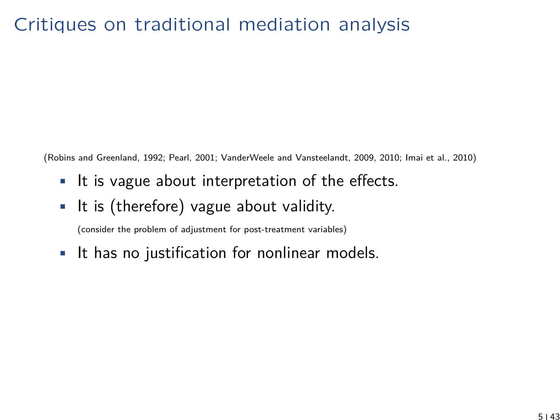## Critiques on traditional mediation analysis

(Robins and Greenland, 1992; Pearl, 2001; VanderWeele and Vansteelandt, 2009, 2010; Imai et al., 2010)

- It is vague about interpretation of the effects.
- It is (therefore) vague about validity.

(consider the problem of adjustment for post-treatment variables)

• It has no justification for nonlinear models.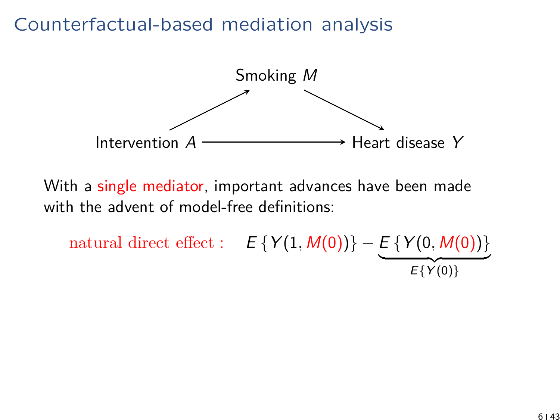

With a single mediator, important advances have been made with the advent of model-free definitions:

natural direct effect :  $E \{Y(1, M(0))\} - E \{Y(0, M(0))\}$  $E\{Y(0)\}$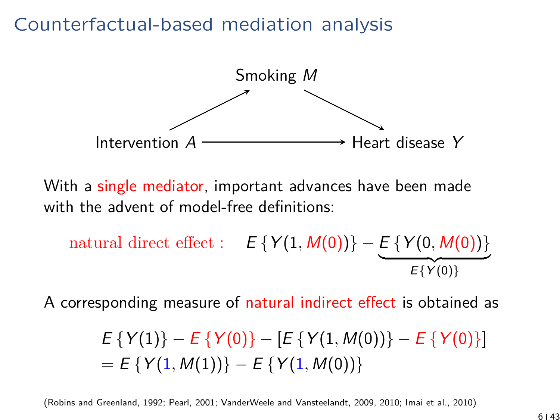

With a single mediator, important advances have been made with the advent of model-free definitions:

natural direct effect : 
$$
E \{Y(1, M(0))\} - E \{Y(0, M(0))\}
$$
  
 $E \{Y(0), M(0))\}$ 

A corresponding measure of natural indirect effect is obtained as

$$
E\{Y(1)\} - E\{Y(0)\} - [E\{Y(1, M(0))\} - E\{Y(0)\}]
$$
  
=  $E\{Y(1, M(1))\} - E\{Y(1, M(0))\}$ 

(Robins and Greenland, 1992; Pearl, 2001; VanderWeele and Vansteelandt, 2009, 2010; Imai et al., 2010)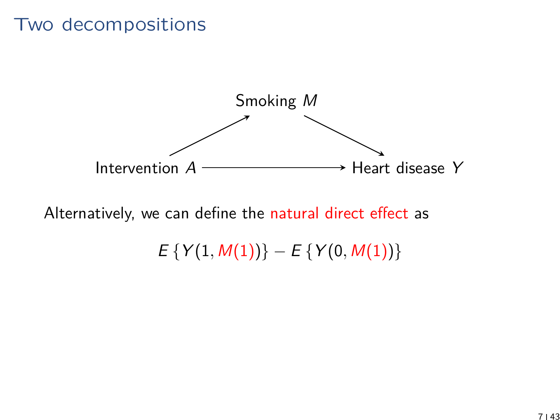#### Two decompositions



Alternatively, we can define the natural direct effect as

 $E \{ Y(1, M(1)) \} - E \{ Y(0, M(1)) \}$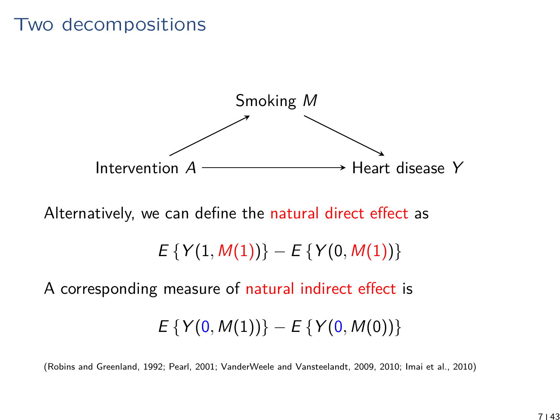#### Two decompositions



Alternatively, we can define the natural direct effect as

 $E \{ Y(1, M(1)) \} - E \{ Y(0, M(1)) \}$ 

A corresponding measure of natural indirect effect is

$$
E\left\{Y(0, M(1))\right\} - E\left\{Y(0, M(0))\right\}
$$

(Robins and Greenland, 1992; Pearl, 2001; VanderWeele and Vansteelandt, 2009, 2010; Imai et al., 2010)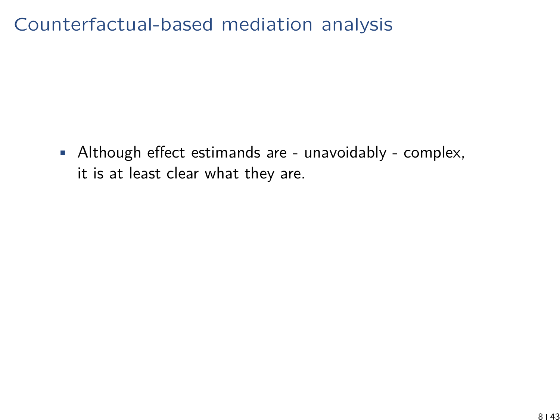• Although effect estimands are - unavoidably - complex, it is at least clear what they are.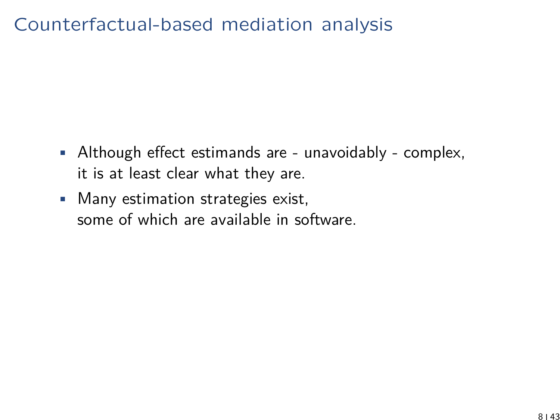- Although effect estimands are unavoidably complex, it is at least clear what they are.
- Many estimation strategies exist, some of which are available in software.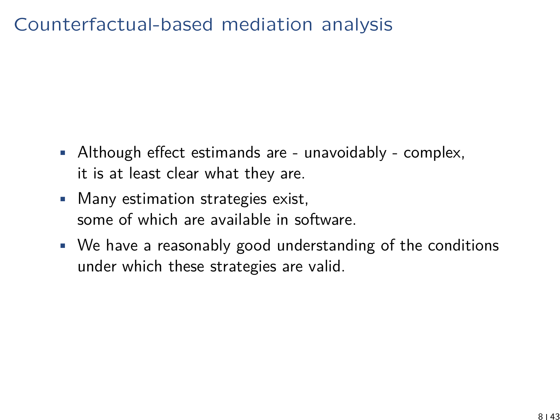- Although effect estimands are unavoidably complex, it is at least clear what they are.
- Many estimation strategies exist, some of which are available in software.
- We have a reasonably good understanding of the conditions under which these strategies are valid.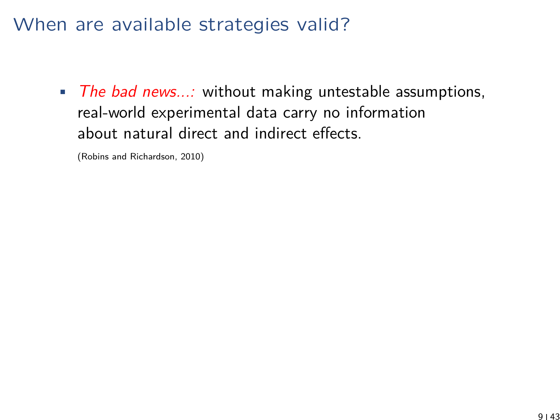• The bad news...: without making untestable assumptions, real-world experimental data carry no information about natural direct and indirect effects.

(Robins and Richardson, 2010)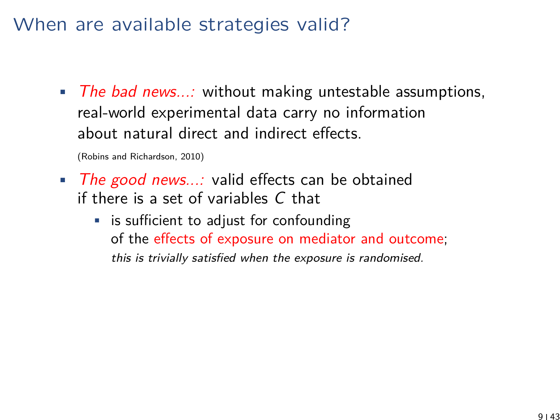• The bad news...: without making untestable assumptions, real-world experimental data carry no information about natural direct and indirect effects.

(Robins and Richardson, 2010)

- The good news...: valid effects can be obtained if there is a set of variables C that
	- is sufficient to adjust for confounding of the effects of exposure on mediator and outcome; this is trivially satisfied when the exposure is randomised.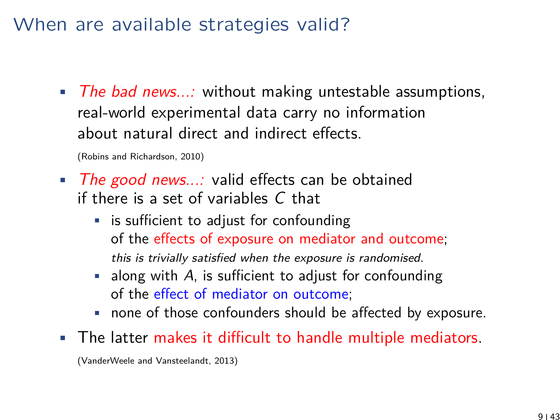• The bad news...: without making untestable assumptions, real-world experimental data carry no information about natural direct and indirect effects.

(Robins and Richardson, 2010)

- The good news...: valid effects can be obtained if there is a set of variables C that
	- is sufficient to adjust for confounding of the effects of exposure on mediator and outcome; this is trivially satisfied when the exposure is randomised.
	- $\blacksquare$  along with A, is sufficient to adjust for confounding of the effect of mediator on outcome;
	- none of those confounders should be affected by exposure.
- The latter makes it difficult to handle multiple mediators.

(VanderWeele and Vansteelandt, 2013)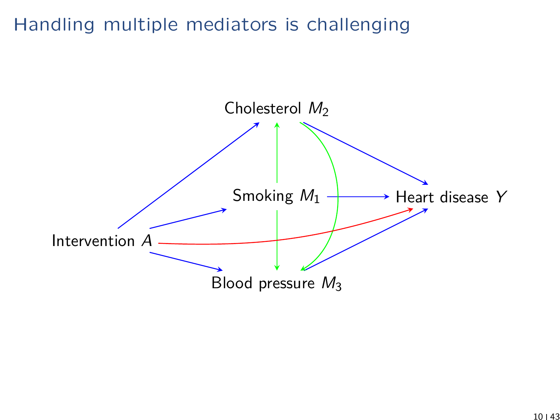## Handling multiple mediators is challenging

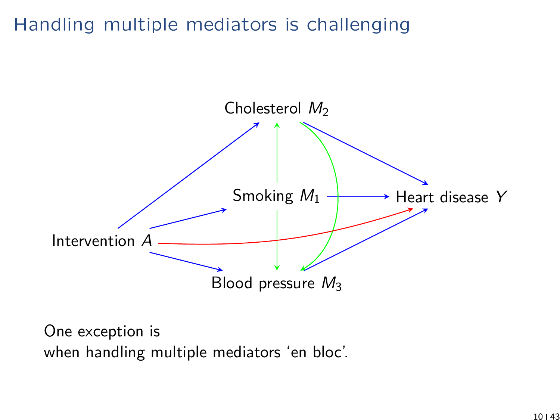## Handling multiple mediators is challenging



One exception is when handling multiple mediators 'en bloc'.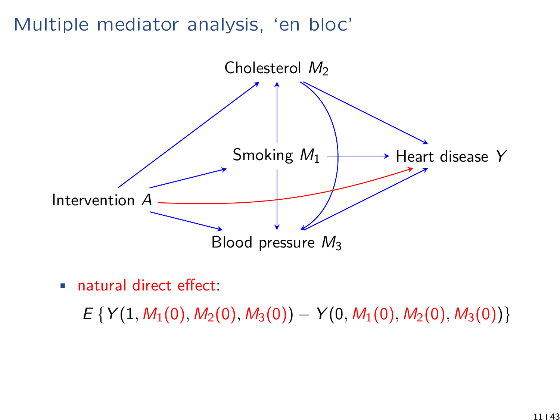#### Multiple mediator analysis, 'en bloc'



• natural direct effect:

 $E \{ Y(1, M_1(0), M_2(0), M_3(0)) - Y(0, M_1(0), M_2(0), M_3(0)) \}$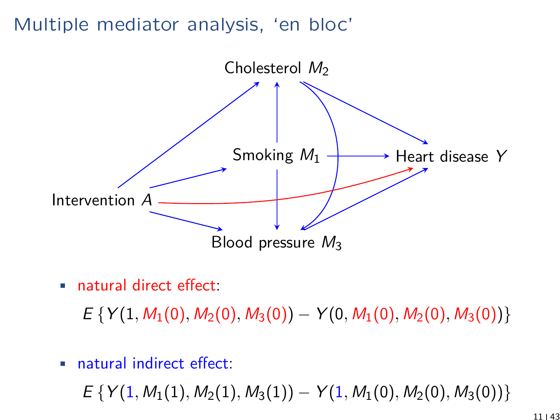#### Multiple mediator analysis, 'en bloc'



• natural direct effect:

 $E \{ Y(1, M_1(0), M_2(0), M_3(0)) - Y(0, M_1(0), M_2(0), M_3(0)) \}$ 

• natural indirect effect:

 $E \{ Y(1, M_1(1), M_2(1), M_3(1)) - Y(1, M_1(0), M_2(0), M_3(0)) \}$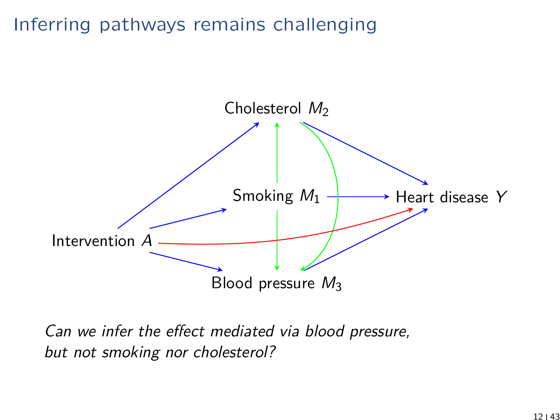## Inferring pathways remains challenging



Can we infer the effect mediated via blood pressure, but not smoking nor cholesterol?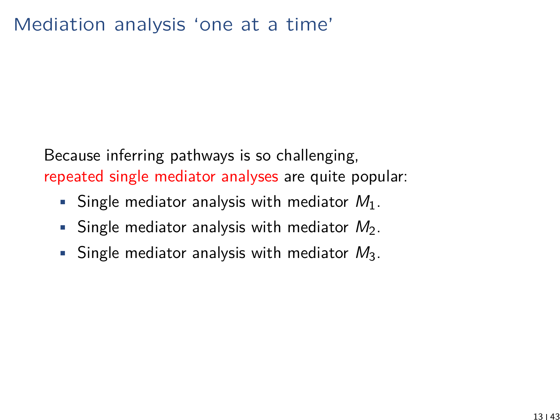Because inferring pathways is so challenging, repeated single mediator analyses are quite popular:

- Single mediator analysis with mediator  $M_1$ .
- Single mediator analysis with mediator  $M_2$ .
- Single mediator analysis with mediator  $M_3$ .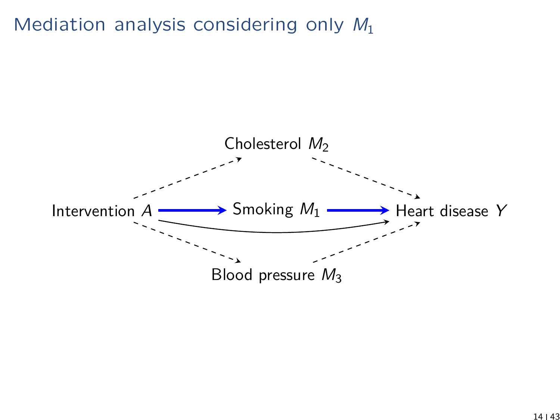Mediation analysis considering only  $M_1$ 

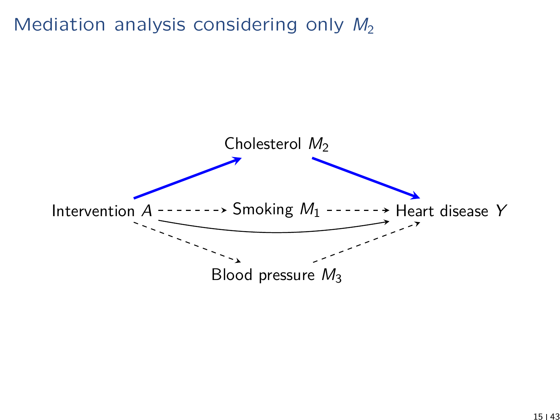Mediation analysis considering only  $M_2$ 

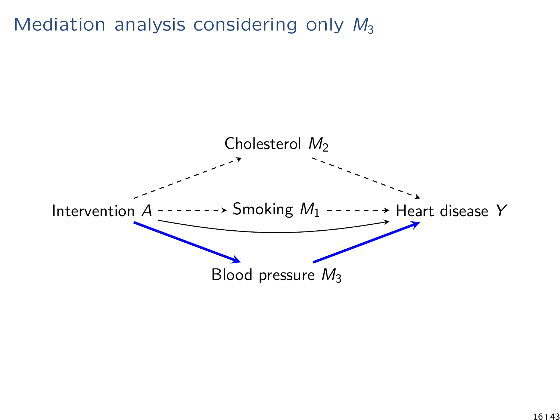Mediation analysis considering only  $M_3$ 

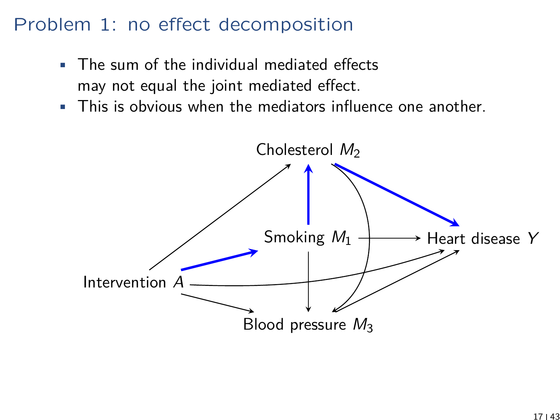## Problem 1: no effect decomposition

- The sum of the individual mediated effects may not equal the joint mediated effect.
- This is obvious when the mediators influence one another.

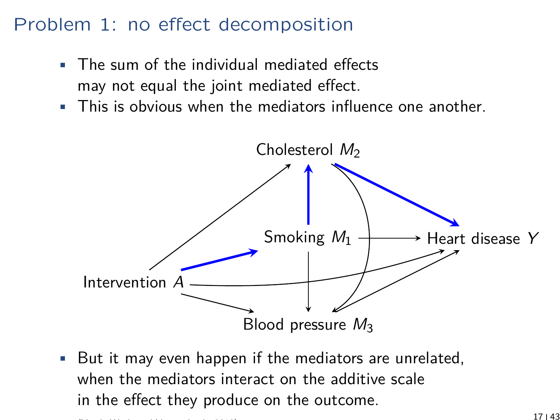# Problem 1: no effect decomposition

- The sum of the individual mediated effects may not equal the joint mediated effect.
- This is obvious when the mediators influence one another.



• But it may even happen if the mediators are unrelated, when the mediators interact on the additive scale in the effect they produce on the outcome. (Vanderweele and Vansteelandt, 2013) 17  $\vert$  43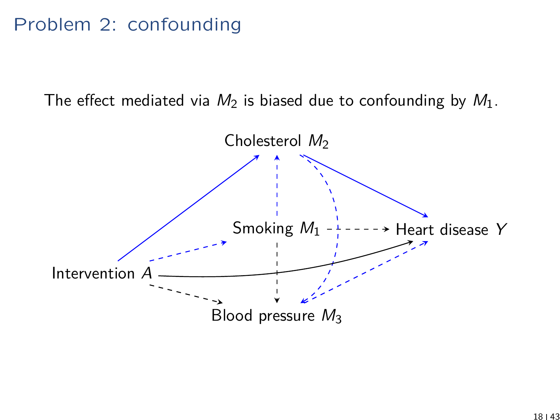## Problem 2: confounding

The effect mediated via  $M_2$  is biased due to confounding by  $M_1$ .

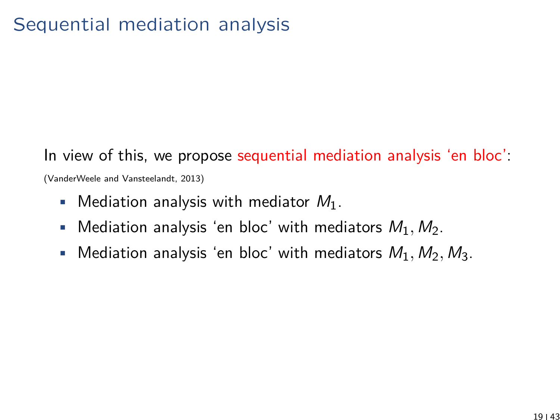# In view of this, we propose sequential mediation analysis 'en bloc':

(VanderWeele and Vansteelandt, 2013)

- Mediation analysis with mediator  $M_1$ .
- Mediation analysis 'en bloc' with mediators  $M_1, M_2$ .
- Mediation analysis 'en bloc' with mediators  $M_1, M_2, M_3$ .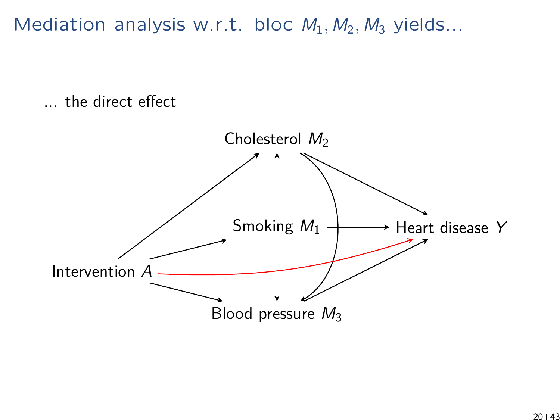Mediation analysis w.r.t. bloc  $M_1, M_2, M_3$  yields...

... the direct effect

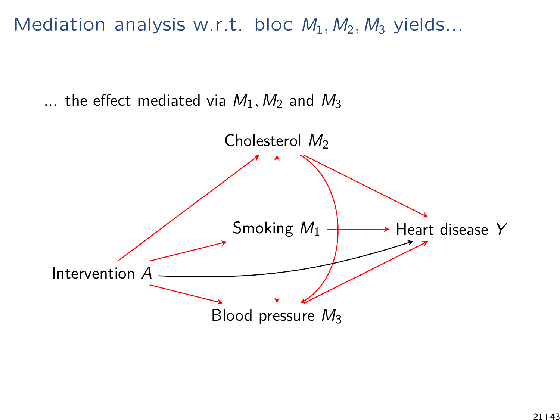Mediation analysis w.r.t. bloc  $M_1, M_2, M_3$  yields...

... the effect mediated via  $M_1$ ,  $M_2$  and  $M_3$ 

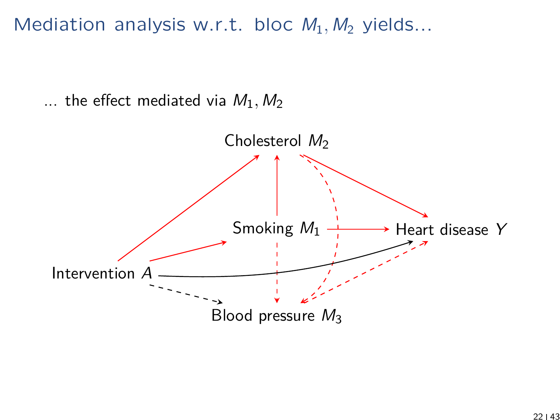Mediation analysis w.r.t. bloc  $M_1, M_2$  yields...

... the effect mediated via  $M_1, M_2$ 

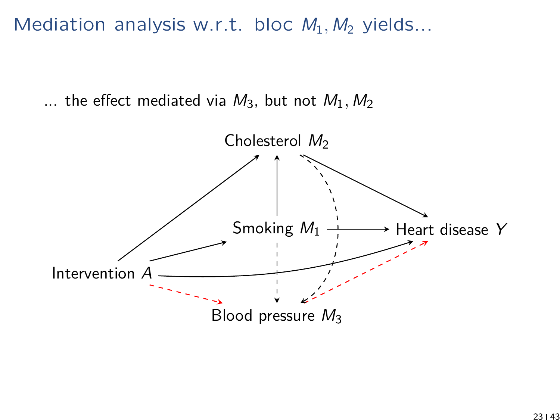Mediation analysis w.r.t. bloc  $M_1, M_2$  yields...

... the effect mediated via  $M_3$ , but not  $M_1, M_2$ 

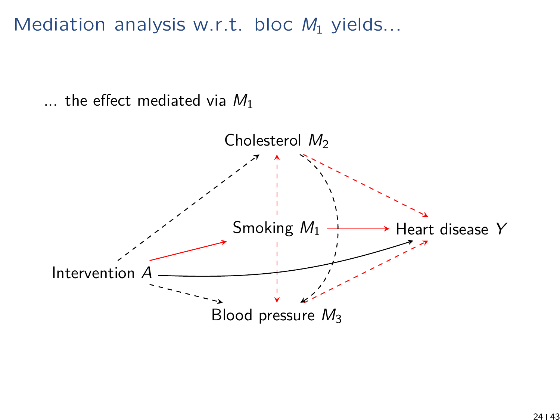Mediation analysis w.r.t. bloc  $M_1$  yields...

... the effect mediated via  $M_1$ 

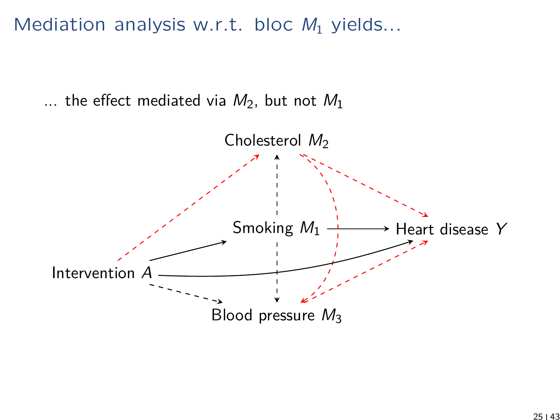Mediation analysis w.r.t. bloc  $M_1$  yields...

... the effect mediated via  $M_2$ , but not  $M_1$ 

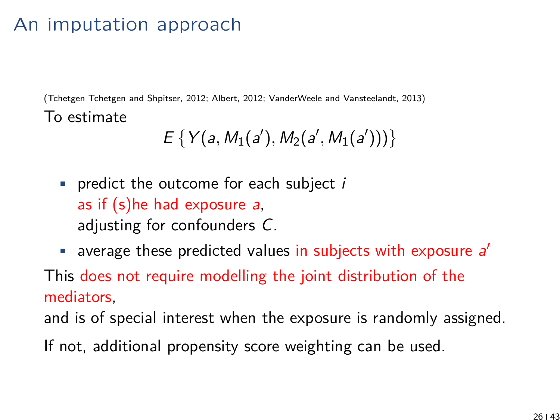## An imputation approach

(Tchetgen Tchetgen and Shpitser, 2012; Albert, 2012; VanderWeele and Vansteelandt, 2013) To estimate

$$
E\{Y(a, M_1(a'), M_2(a', M_1(a')))\}
$$

- predict the outcome for each subject  $i$ as if (s)he had exposure a, adjusting for confounders C.
- $\blacksquare$  average these predicted values in subjects with exposure  $a'$

This does not require modelling the joint distribution of the mediators,

and is of special interest when the exposure is randomly assigned.

If not, additional propensity score weighting can be used.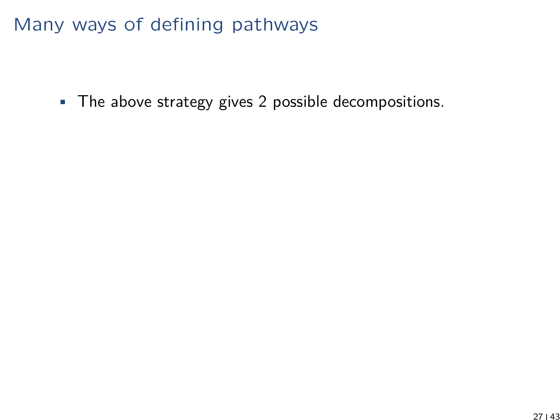• The above strategy gives 2 possible decompositions.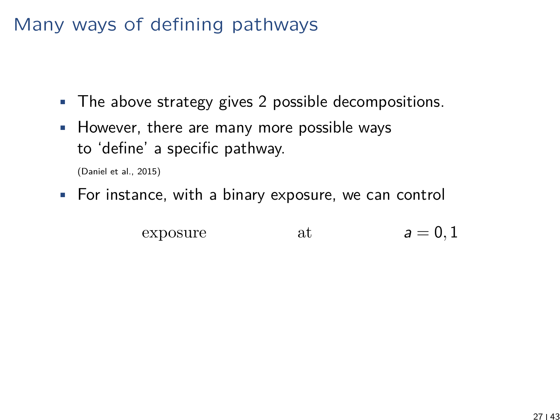- The above strategy gives 2 possible decompositions.
- However, there are many more possible ways to 'define' a specific pathway.

(Daniel et al., 2015)

• For instance, with a binary exposure, we can control

expasure at 
$$
a = 0, 1
$$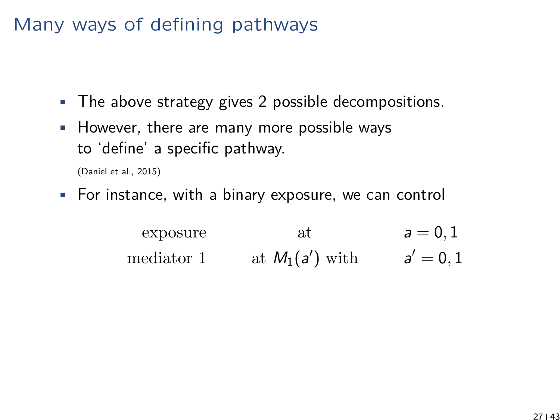- The above strategy gives 2 possible decompositions.
- However, there are many more possible ways to 'define' a specific pathway.

(Daniel et al., 2015)

• For instance, with a binary exposure, we can control

exposure at  $a = 0, 1$ mediator 1 at  $M_1(a')$  with  $a' = 0, 1$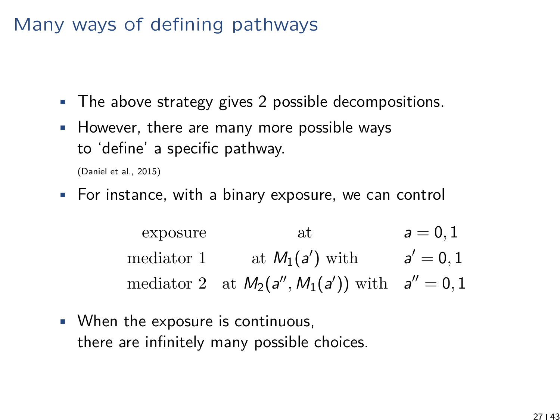- The above strategy gives 2 possible decompositions.
- However, there are many more possible ways to 'define' a specific pathway.

(Daniel et al., 2015)

• For instance, with a binary exposure, we can control

exposure at  $a = 0, 1$ mediator 1 at  $M_1(a')$  with  $a' = 0, 1$ mediator 2 at  $M_2(a'', M_1(a'))$  with  $a'' = 0, 1$ 

• When the exposure is continuous, there are infinitely many possible choices.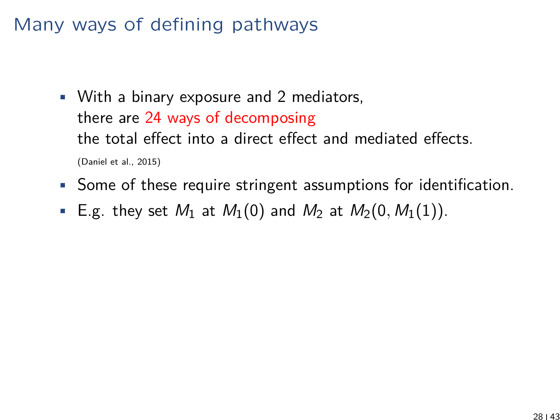- With a binary exposure and 2 mediators, there are 24 ways of decomposing the total effect into a direct effect and mediated effects. (Daniel et al., 2015)
- Some of these require stringent assumptions for identification.
- E.g. they set  $M_1$  at  $M_1(0)$  and  $M_2$  at  $M_2(0, M_1(1))$ .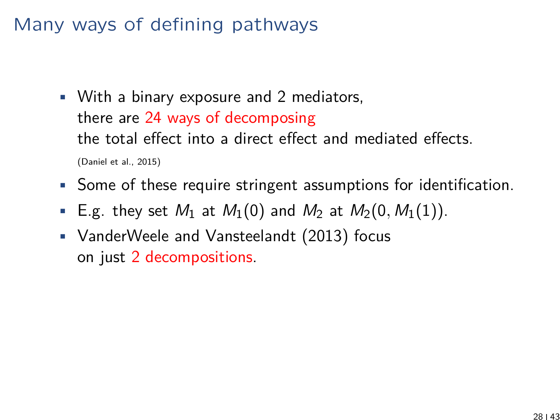- With a binary exposure and 2 mediators, there are 24 ways of decomposing the total effect into a direct effect and mediated effects. (Daniel et al., 2015)
- Some of these require stringent assumptions for identification.
- E.g. they set  $M_1$  at  $M_1(0)$  and  $M_2$  at  $M_2(0, M_1(1))$ .
- VanderWeele and Vansteelandt (2013) focus on just 2 decompositions.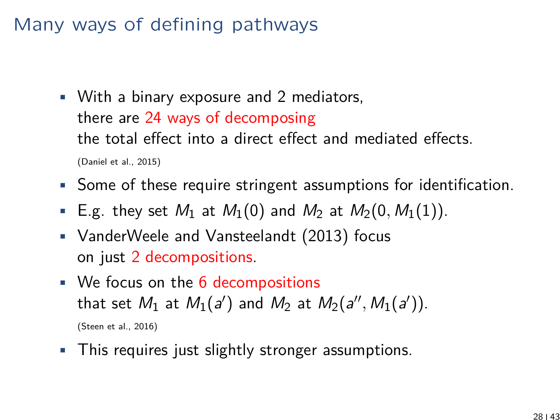- With a binary exposure and 2 mediators, there are 24 ways of decomposing the total effect into a direct effect and mediated effects. (Daniel et al., 2015)
- Some of these require stringent assumptions for identification.
- E.g. they set  $M_1$  at  $M_1(0)$  and  $M_2$  at  $M_2(0, M_1(1))$ .
- VanderWeele and Vansteelandt (2013) focus on just 2 decompositions.
- We focus on the  $6$  decompositions that set  $M_1$  at  $M_1(a')$  and  $M_2$  at  $M_2(a'', M_1(a'))$ . (Steen et al., 2016)
- This requires just slightly stronger assumptions.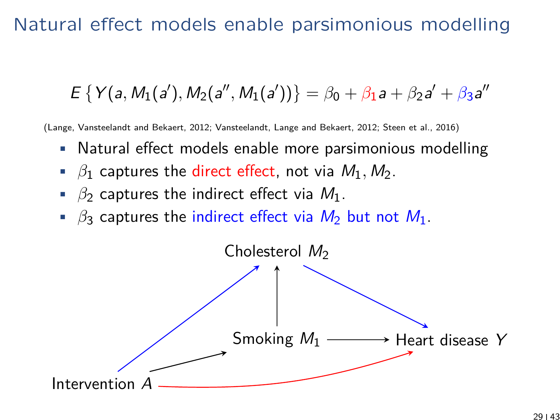#### Natural effect models enable parsimonious modelling

$$
E\left\{Y(a,M_1(a'),M_2(a'',M_1(a'))\right\}=\beta_0+\beta_1a+\beta_2a'+\beta_3a''
$$

(Lange, Vansteelandt and Bekaert, 2012; Vansteelandt, Lange and Bekaert, 2012; Steen et al., 2016)

- Natural effect models enable more parsimonious modelling
- $\beta_1$  captures the direct effect, not via  $M_1, M_2$ .
- $\beta_2$  captures the indirect effect via  $M_1$ .
- $\beta_3$  captures the indirect effect via  $M_2$  but not  $M_1$ .

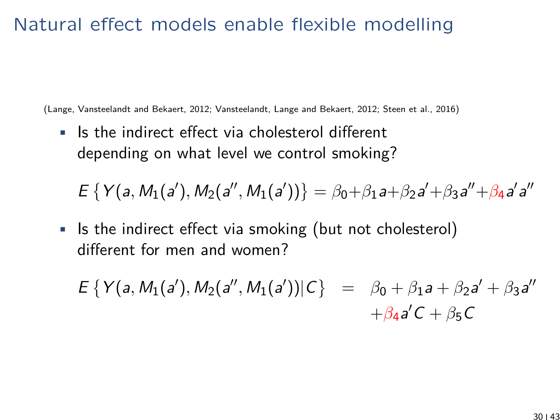## Natural effect models enable flexible modelling

(Lange, Vansteelandt and Bekaert, 2012; Vansteelandt, Lange and Bekaert, 2012; Steen et al., 2016)

• Is the indirect effect via cholesterol different depending on what level we control smoking?

 $E \{ Y(a, M_1(a'), M_2(a'', M_1(a')) \} = \beta_0 + \beta_1 a + \beta_2 a' + \beta_3 a'' + \beta_4 a' a''$ 

• Is the indirect effect via smoking (but not cholesterol) different for men and women?

 $E \{ Y(a, M_1(a'), M_2(a'', M_1(a')) | C \} = \beta_0 + \beta_1 a + \beta_2 a' + \beta_3 a''$  $+\beta_4 a'C + \beta_5 C$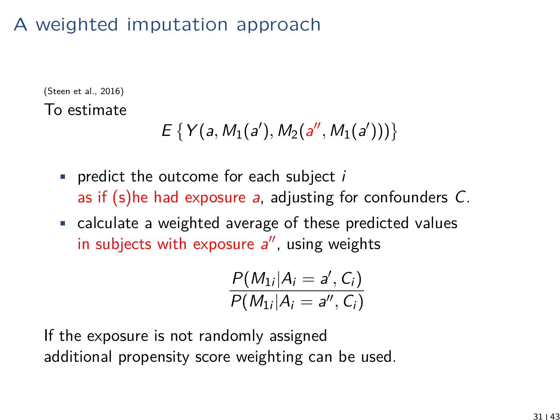# A weighted imputation approach

(Steen et al., 2016) To estimate

$$
E\left\{Y(a,M_1(a'),M_2(a'',M_1(a')))\right\}
$$

- predict the outcome for each subject  $i$ as if (s)he had exposure a, adjusting for confounders C.
- calculate a weighted average of these predicted values in subjects with exposure  $a''$ , using weights

$$
\frac{P(M_{1i}|A_i=a',C_i)}{P(M_{1i}|A_i=a'',C_i)}
$$

If the exposure is not randomly assigned additional propensity score weighting can be used.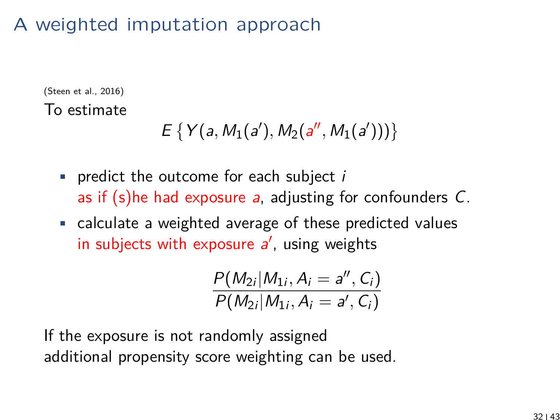# A weighted imputation approach

(Steen et al., 2016) To estimate

$$
E\left\{Y(a,M_1(a'),M_2(a'',M_1(a')))\right\}
$$

- predict the outcome for each subject  $i$ as if (s)he had exposure a, adjusting for confounders C.
- calculate a weighted average of these predicted values in subjects with exposure  $a'$ , using weights

$$
\frac{P(M_{2i}|M_{1i}, A_i = a'', C_i)}{P(M_{2i}|M_{1i}, A_i = a', C_i)}
$$

If the exposure is not randomly assigned additional propensity score weighting can be used.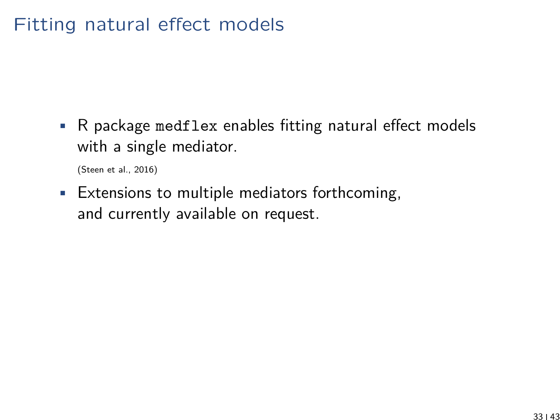## Fitting natural effect models

• R package medflex enables fitting natural effect models with a single mediator.

(Steen et al., 2016)

• Extensions to multiple mediators forthcoming, and currently available on request.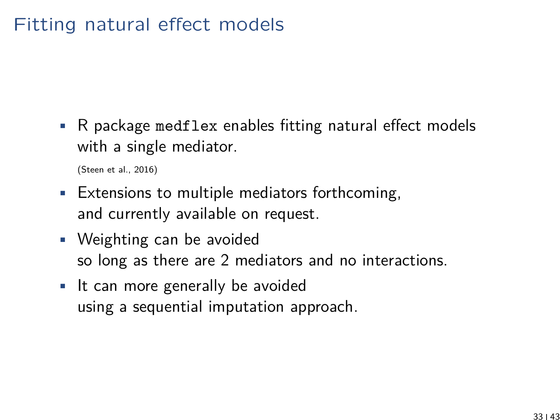## Fitting natural effect models

• R package medflex enables fitting natural effect models with a single mediator.

(Steen et al., 2016)

- Extensions to multiple mediators forthcoming, and currently available on request.
- Weighting can be avoided so long as there are 2 mediators and no interactions.
- It can more generally be avoided using a sequential imputation approach.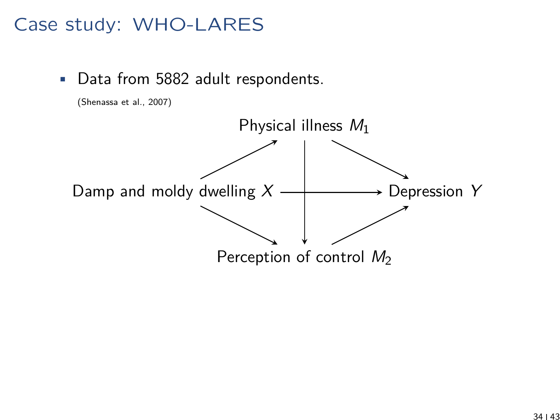## Case study: WHO-LARES

• Data from 5882 adult respondents.



(Shenassa et al., 2007)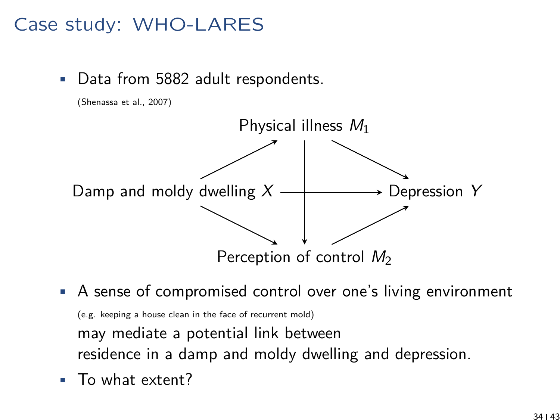## Case study: WHO-LARES

(Shenassa et al., 2007)

Data from 5882 adult respondents.



- A sense of compromised control over one's living environment (e.g. keeping a house clean in the face of recurrent mold) may mediate a potential link between residence in a damp and moldy dwelling and depression.
- To what extent?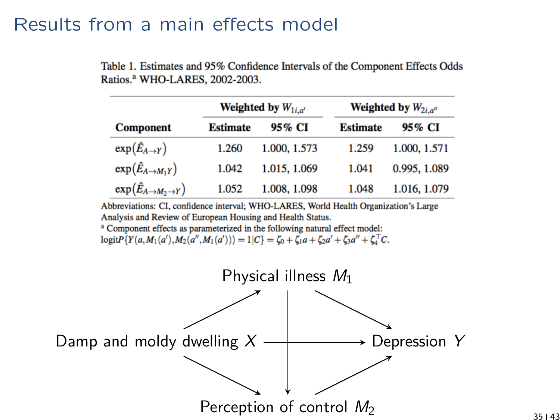#### Results from a main effects model

|                                            |  |  | Table 1. Estimates and 95% Confidence Intervals of the Component Effects Odds |  |
|--------------------------------------------|--|--|-------------------------------------------------------------------------------|--|
| Ratios. <sup>a</sup> WHO-LARES, 2002-2003. |  |  |                                                                               |  |

|                                                 |                 | Weighted by $W_{1i,a'}$ | <b>Weighted by</b> $W_{2i,a''}$ |              |  |  |
|-------------------------------------------------|-----------------|-------------------------|---------------------------------|--------------|--|--|
| <b>Component</b>                                | <b>Estimate</b> | 95% CI                  | <b>Estimate</b>                 | 95% CI       |  |  |
| $\exp(\hat{E}_{A\to Y})$                        | 1.260           | 1.000, 1.573            | 1.259                           | 1.000, 1.571 |  |  |
| $\exp(\hat{E}_{A\rightarrow M_1Y})$             | 1.042           | 1.015, 1.069            | 1.041                           | 0.995, 1.089 |  |  |
| $\exp(\hat{E}_{A\rightarrow M_2\rightarrow Y})$ | 1.052           | 1.008, 1.098            | 1.048                           | 1.016, 1.079 |  |  |

Abbreviations: CI, confidence interval; WHO-LARES, World Health Organization's Large Analysis and Review of European Housing and Health Status.

<sup>a</sup> Component effects as parameterized in the following natural effect model:  $\text{logit} \, P \{ Y(a, M_1(a'), M_2(a'', M_1(a'))) = 1 | C \} = \zeta_0 + \zeta_1 a + \zeta_2 a' + \zeta_3 a'' + \zeta_4^{\top} C.$ 

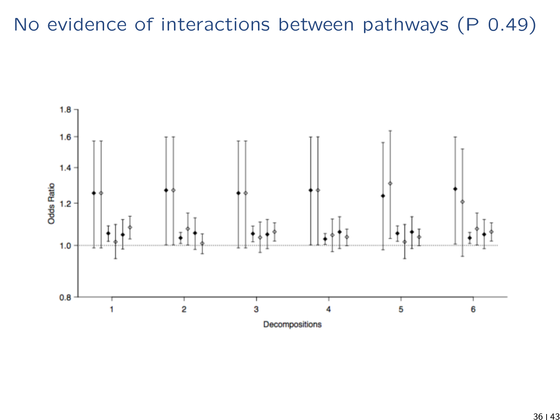# No evidence of interactions between pathways (P 0.49)

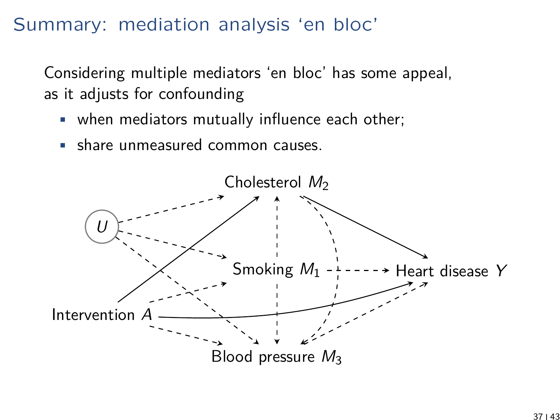#### Summary: mediation analysis 'en bloc'

Considering multiple mediators 'en bloc' has some appeal, as it adjusts for confounding

- when mediators mutually influence each other;
- share unmeasured common causes.

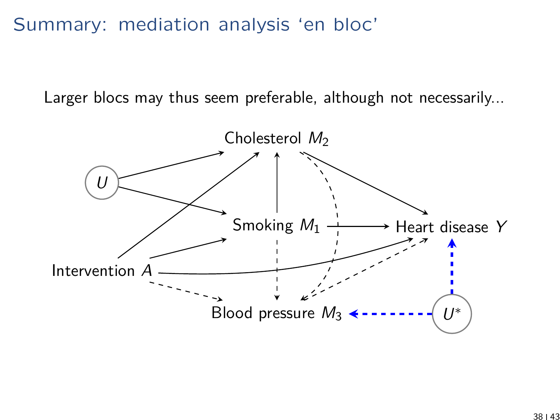#### Summary: mediation analysis 'en bloc'

Larger blocs may thus seem preferable, although not necessarily...

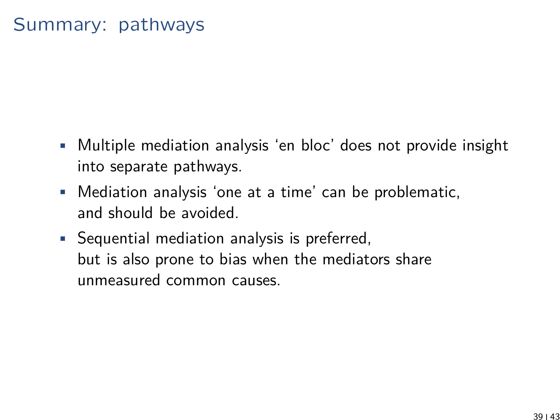#### Summary: pathways

- Multiple mediation analysis 'en bloc' does not provide insight into separate pathways.
- Mediation analysis 'one at a time' can be problematic, and should be avoided.
- Sequential mediation analysis is preferred, but is also prone to bias when the mediators share unmeasured common causes.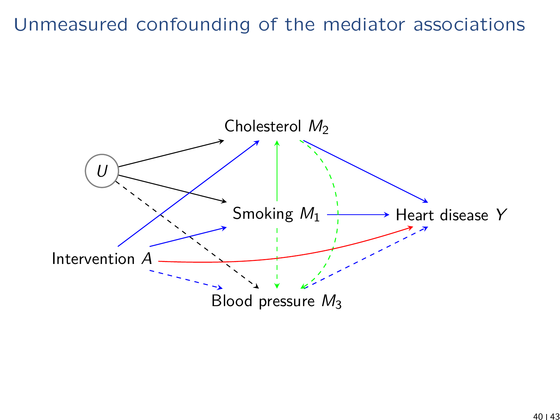#### Unmeasured confounding of the mediator associations

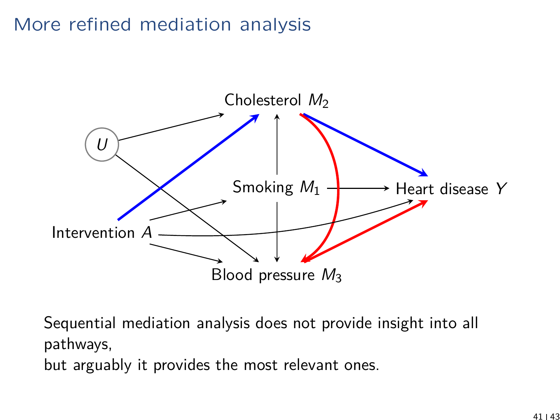## More refined mediation analysis



Sequential mediation analysis does not provide insight into all pathways, but arguably it provides the most relevant ones.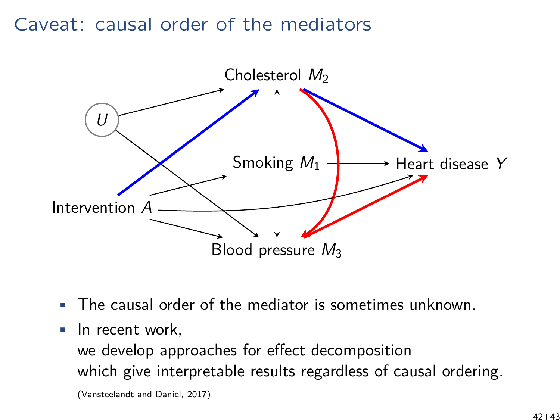#### Caveat: causal order of the mediators



- The causal order of the mediator is sometimes unknown.
- In recent work,

we develop approaches for effect decomposition which give interpretable results regardless of causal ordering.

(Vansteelandt and Daniel, 2017)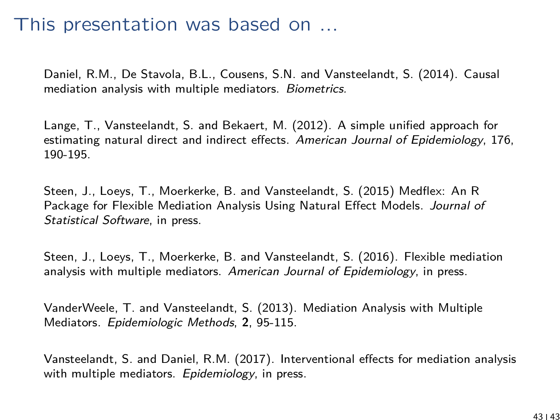#### This presentation was based on ...

Daniel, R.M., De Stavola, B.L., Cousens, S.N. and Vansteelandt, S. (2014). Causal mediation analysis with multiple mediators. Biometrics.

Lange, T., Vansteelandt, S. and Bekaert, M. (2012). A simple unified approach for estimating natural direct and indirect effects. American Journal of Epidemiology, 176. 190-195.

Steen, J., Loeys, T., Moerkerke, B. and Vansteelandt, S. (2015) Medflex: An R Package for Flexible Mediation Analysis Using Natural Effect Models. Journal of Statistical Software, in press.

Steen, J., Loeys, T., Moerkerke, B. and Vansteelandt, S. (2016). Flexible mediation analysis with multiple mediators. American Journal of Epidemiology, in press.

VanderWeele, T. and Vansteelandt, S. (2013). Mediation Analysis with Multiple Mediators. Epidemiologic Methods, **2**, 95-115.

Vansteelandt, S. and Daniel, R.M. (2017). Interventional effects for mediation analysis with multiple mediators. Epidemiology, in press.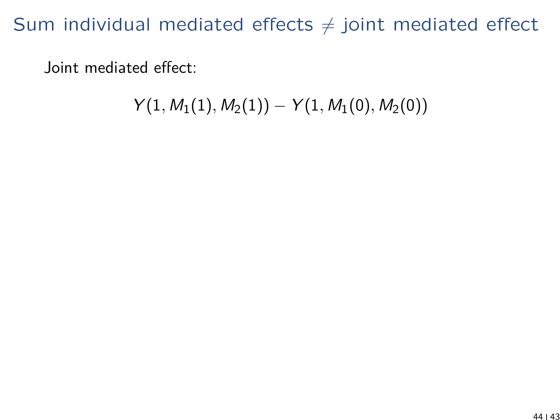Joint mediated effect:

$$
Y(1,M_1(1),M_2(1))-Y(1,M_1(0),M_2(0))
$$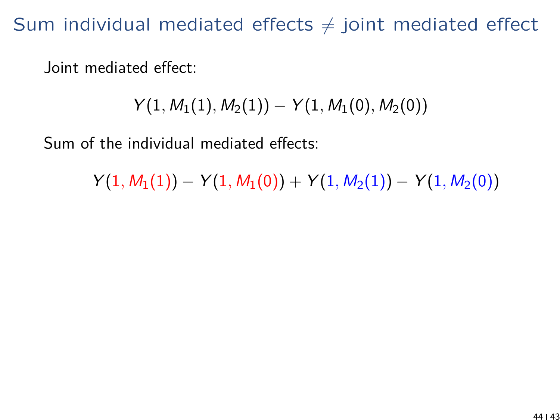Joint mediated effect:

$$
Y(1,M_1(1),M_2(1))-Y(1,M_1(0),M_2(0))
$$

Sum of the individual mediated effects:

 $Y(1, M_1(1)) - Y(1, M_1(0)) + Y(1, M_2(1)) - Y(1, M_2(0))$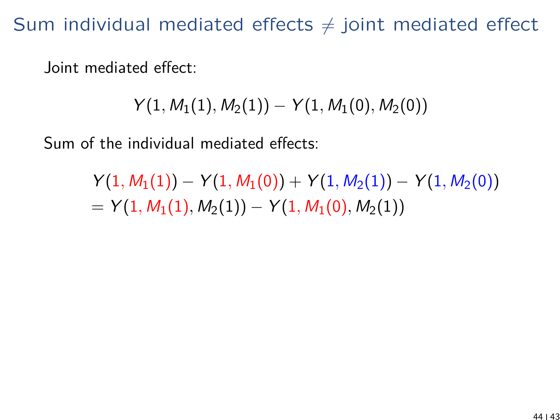Joint mediated effect:

$$
Y(1, M_1(1), M_2(1)) - Y(1, M_1(0), M_2(0))
$$

Sum of the individual mediated effects:

 $Y(1, M_1(1)) - Y(1, M_1(0)) + Y(1, M_2(1)) - Y(1, M_2(0))$  $= Y(1, M_1(1), M_2(1)) - Y(1, M_1(0), M_2(1))$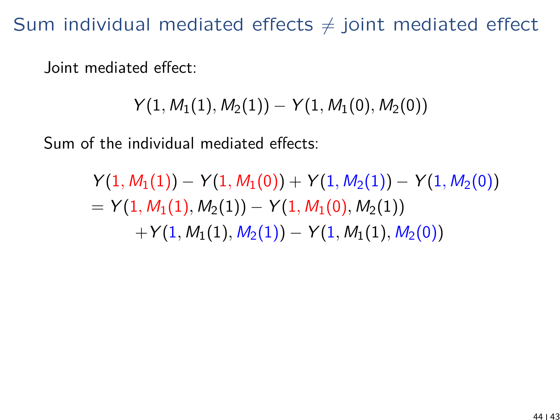Joint mediated effect:

$$
Y(1, M_1(1), M_2(1)) - Y(1, M_1(0), M_2(0))
$$

Sum of the individual mediated effects:

$$
Y(1, M_1(1)) - Y(1, M_1(0)) + Y(1, M_2(1)) - Y(1, M_2(0))
$$
  
=  $Y(1, M_1(1), M_2(1)) - Y(1, M_1(0), M_2(1))$   
+  $Y(1, M_1(1), M_2(1)) - Y(1, M_1(1), M_2(0))$